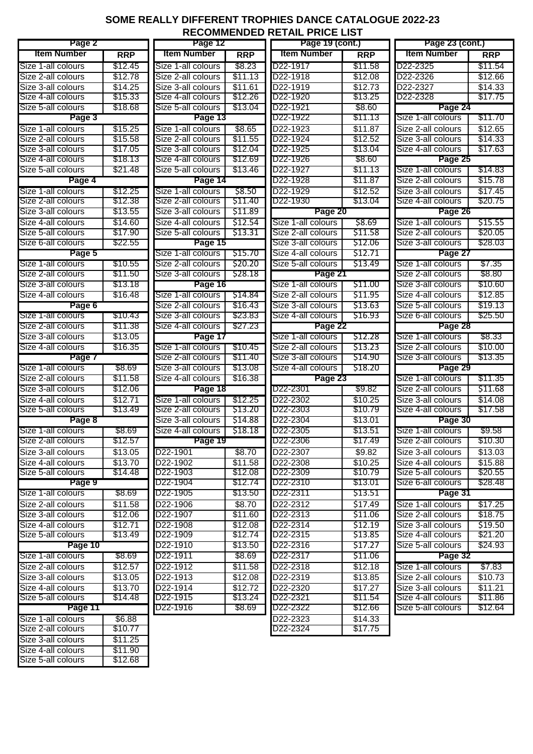## **SOME REALLY DIFFERENT TROPHIES DANCE CATALOGUE 2022-23 RECOMMENDED RETAIL PRICE LIST**

| Page 2             |            | Page 12               |            | Page 19 (cont.)       |            | Page 23 (cont.)       |            |
|--------------------|------------|-----------------------|------------|-----------------------|------------|-----------------------|------------|
| <b>Item Number</b> | <b>RRP</b> | <b>Item Number</b>    | <b>RRP</b> | <b>Item Number</b>    | <b>RRP</b> | <b>Item Number</b>    | <b>RRP</b> |
| Size 1-all colours | \$12.45    | Size 1-all colours    | \$8.23     | D22-1917              | \$11.58    | D <sub>22</sub> -2325 | \$11.54    |
| Size 2-all colours | \$12.78    | Size 2-all colours    | \$11.13    | D22-1918              | \$12.08    | D22-2326              | \$12.66    |
| Size 3-all colours | \$14.25    | Size 3-all colours    | \$11.61    | D22-1919              | \$12.73    | D22-2327              | \$14.33    |
| Size 4-all colours | \$15.33    | Size 4-all colours    | \$12.26    | D22-1920              | \$13.25    | D22-2328              | \$17.75    |
| Size 5-all colours | \$18.68    | Size 5-all colours    | \$13.04    | D <sub>22</sub> -1921 | \$8.60     | Page 24               |            |
| Page 3             |            | Page 13               |            | D22-1922              | \$11.13    | Size 1-all colours    | \$11.70    |
| Size 1-all colours | \$15.25    | Size 1-all colours    | \$8.65     | D22-1923              | \$11.87    | Size 2-all colours    | \$12.65    |
| Size 2-all colours | \$15.58    | Size 2-all colours    | \$11.55    | D22-1924              | \$12.52    | Size 3-all colours    | \$14.33    |
| Size 3-all colours | \$17.05    | Size 3-all colours    | \$12.04    | D <sub>22</sub> -1925 | \$13.04    | Size 4-all colours    | \$17.63    |
| Size 4-all colours | \$18.13    | Size 4-all colours    | \$12.69    | D <sub>22</sub> -1926 | \$8.60     | Page 25               |            |
| Size 5-all colours | \$21.48    | Size 5-all colours    | \$13.46    | D <sub>22</sub> -1927 | \$11.13    | Size 1-all colours    | \$14.83    |
| Page 4             |            | Page 14               |            | D <sub>22</sub> -1928 | \$11.87    | Size 2-all colours    | \$15.78    |
| Size 1-all colours | \$12.25    | Size 1-all colours    | \$8.50     | D22-1929              | \$12.52    | Size 3-all colours    | \$17.45    |
| Size 2-all colours | \$12.38    | Size 2-all colours    | \$11.40    | D22-1930              | \$13.04    | Size 4-all colours    | \$20.75    |
| Size 3-all colours | \$13.55    | Size 3-all colours    | \$11.89    | Page 20               |            | Page 26               |            |
| Size 4-all colours | \$14.60    | Size 4-all colours    | \$12.54    | Size 1-all colours    | \$8.69     | Size 1-all colours    | \$15.55    |
| Size 5-all colours | \$17.90    | Size 5-all colours    | \$13.31    | Size 2-all colours    | \$11.58    | Size 2-all colours    | \$20.05    |
| Size 6-all colours | \$22.55    | Page 15               |            | Size 3-all colours    | \$12.06    | Size 3-all colours    | \$28.03    |
| Page 5             |            | Size 1-all colours    | \$15.70    | Size 4-all colours    | \$12.71    | Page 27               |            |
| Size 1-all colours | \$10.55    | Size 2-all colours    | \$20.20    | Size 5-all colours    | \$13.49    | Size 1-all colours    | \$7.35     |
| Size 2-all colours | \$11.50    | Size 3-all colours    | \$28.18    | Page 21               |            | Size 2-all colours    | \$8.80     |
| Size 3-all colours | \$13.18    | Page 16               |            | Size 1-all colours    | \$11.00    | Size 3-all colours    | \$10.60    |
| Size 4-all colours | \$16.48    | Size 1-all colours    | \$14.84    | Size 2-all colours    | \$11.95    | Size 4-all colours    | \$12.85    |
| Page 6             |            | Size 2-all colours    | \$16.43    | Size 3-all colours    | \$13.63    | Size 5-all colours    | \$19.13    |
| Size 1-all colours | \$10.43    | Size 3-all colours    | \$23.83    | Size 4-all colours    | \$16.93    | Size 6-all colours    | \$25.50    |
| Size 2-all colours | \$11.38    | Size 4-all colours    | \$27.23    | Page 22               |            | Page 28               |            |
| Size 3-all colours | \$13.05    | Page 17               |            | Size 1-all colours    | \$12.28    | Size 1-all colours    | \$8.33     |
| Size 4-all colours | \$16.35    | Size 1-all colours    | \$10.45    | Size 2-all colours    | \$13.23    | Size 2-all colours    | \$10.00    |
| Page 7             |            | Size 2-all colours    | \$11.40    | Size 3-all colours    | \$14.90    | Size 3-all colours    | \$13.35    |
| Size 1-all colours | \$8.69     | Size 3-all colours    | \$13.08    | Size 4-all colours    | \$18.20    | Page 29               |            |
| Size 2-all colours | \$11.58    | Size 4-all colours    | \$16.38    | Page 23               |            | Size 1-all colours    | \$11.35    |
| Size 3-all colours | \$12.06    | Page 18               |            | D22-2301              | \$9.82     | Size 2-all colours    | \$11.68    |
| Size 4-all colours | \$12.71    | Size 1-all colours    | \$12.25    | D22-2302              | \$10.25    | Size 3-all colours    | \$14.08    |
| Size 5-all colours | \$13.49    | Size 2-all colours    | \$13.20    | D22-2303              | \$10.79    | Size 4-all colours    | \$17.58    |
| Page 8             |            | Size 3-all colours    | \$14.88    | D22-2304              | \$13.01    | Page 30               |            |
| Size 1-all colours | \$8.69     | Size 4-all colours    | \$18.18    | D22-2305              | \$13.51    | Size 1-all colours    | \$9.58     |
| Size 2-all colours | \$12.57    | Page 19               |            | D22-2306              | \$17.49    | Size 2-all colours    | \$10.30    |
| Size 3-all colours | \$13.05    | D22-1901              | \$8.70     | D22-2307              | \$9.82     | Size 3-all colours    | \$13.03    |
| Size 4-all colours | \$13.70    | D22-1902              | \$11.58    | D22-2308              | \$10.25    | Size 4-all colours    | \$15.88    |
| Size 5-all colours | \$14.48    | D22-1903              | \$12.08    | D22-2309              | \$10.79    | Size 5-all colours    | \$20.55    |
| Page 9             |            | D22-1904              | \$12.74    | D22-2310              | \$13.01    | Size 6-all colours    | \$28.48    |
| Size 1-all colours | \$8.69     | D <sub>22</sub> -1905 | \$13.50    | D22-2311              | \$13.51    | Page 31               |            |
| Size 2-all colours | \$11.58    | D22-1906              | \$8.70     | D22-2312              | \$17.49    | Size 1-all colours    | \$17.25    |
| Size 3-all colours | \$12.06    | D22-1907              | \$11.60    | D22-2313              | \$11.06    | Size 2-all colours    | \$18.75    |
| Size 4-all colours | \$12.71    | D22-1908              | \$12.08    | D22-2314              | \$12.19    | Size 3-all colours    | \$19.50    |
| Size 5-all colours | \$13.49    | D22-1909              | \$12.74    | D22-2315              | \$13.85    | Size 4-all colours    | \$21.20    |
| Page 10            |            | D22-1910              | \$13.50    | D22-2316              | \$17.27    | Size 5-all colours    | \$24.93    |
| Size 1-all colours | \$8.69     | D22-1911              | \$8.69     | D22-2317              | \$11.06    | Page 32               |            |
| Size 2-all colours | \$12.57    | D22-1912              | \$11.58    | D22-2318              | \$12.18    | Size 1-all colours    | \$7.83     |
| Size 3-all colours | \$13.05    | D22-1913              | \$12.08    | D22-2319              | \$13.85    | Size 2-all colours    | \$10.73    |
| Size 4-all colours | \$13.70    | D22-1914              | \$12.72    | D22-2320              | \$17.27    | Size 3-all colours    | \$11.21    |
| Size 5-all colours | \$14.48    | D22-1915              | \$13.24    | D22-2321              | \$11.54    | Size 4-all colours    | \$11.86    |
| Page 11            |            | D22-1916              | \$8.69     | D22-2322              | \$12.66    | Size 5-all colours    | \$12.64    |
| Size 1-all colours | \$6.88     |                       |            | D22-2323              | \$14.33    |                       |            |
| Size 2-all colours | \$10.77    |                       |            | D22-2324              | \$17.75    |                       |            |
| Size 3-all colours | \$11.25    |                       |            |                       |            |                       |            |
| Size 4-all colours | \$11.90    |                       |            |                       |            |                       |            |
| Size 5-all colours | \$12.68    |                       |            |                       |            |                       |            |
|                    |            |                       |            |                       |            |                       |            |